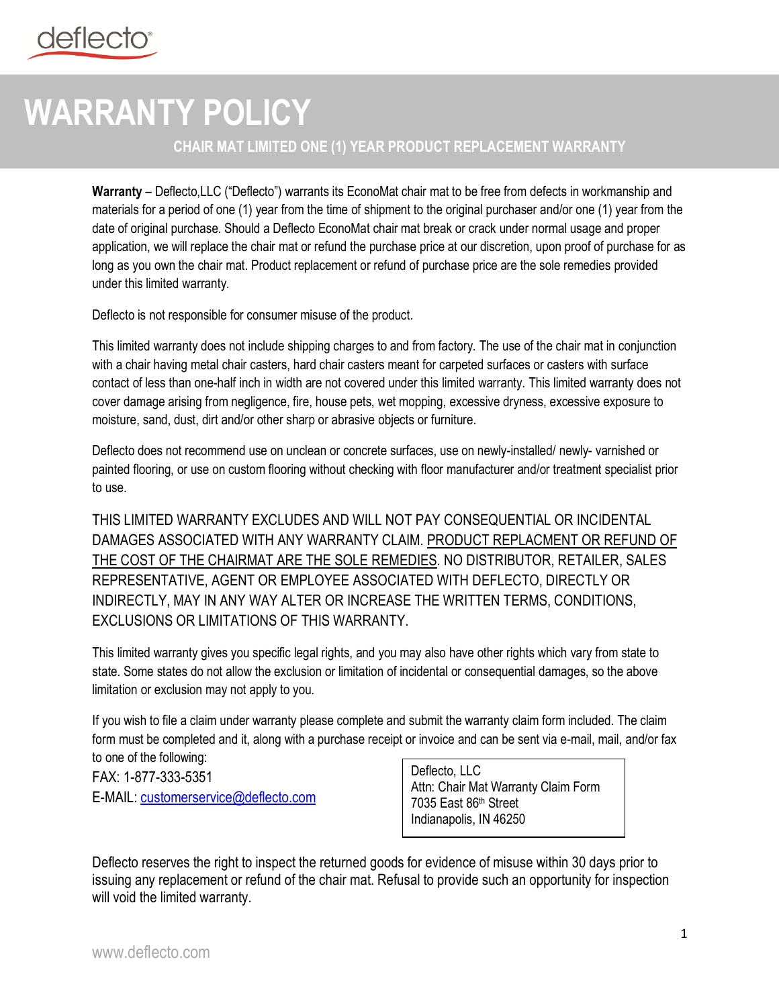## **WARRANTY POLICY**

## **CHAIR MAT LIMITED ONE (1) YEAR PRODUCT REPLACEMENT WARRANTY**

**Warranty** – Deflecto,LLC ("Deflecto") warrants its EconoMat chair mat to be free from defects in workmanship and materials for a period of one (1) year from the time of shipment to the original purchaser and/or one (1) year from the date of original purchase. Should a Deflecto EconoMat chair mat break or crack under normal usage and proper application, we will replace the chair mat or refund the purchase price at our discretion, upon proof of purchase for as long as you own the chair mat. Product replacement or refund of purchase price are the sole remedies provided under this limited warranty.

Deflecto is not responsible for consumer misuse of the product.

This limited warranty does not include shipping charges to and from factory. The use of the chair mat in conjunction with a chair having metal chair casters, hard chair casters meant for carpeted surfaces or casters with surface contact of less than one-half inch in width are not covered under this limited warranty. This limited warranty does not cover damage arising from negligence, fire, house pets, wet mopping, excessive dryness, excessive exposure to moisture, sand, dust, dirt and/or other sharp or abrasive objects or furniture.

Deflecto does not recommend use on unclean or concrete surfaces, use on newly-installed/ newly- varnished or painted flooring, or use on custom flooring without checking with floor manufacturer and/or treatment specialist prior to use.

THIS LIMITED WARRANTY EXCLUDES AND WILL NOT PAY CONSEQUENTIAL OR INCIDENTAL DAMAGES ASSOCIATED WITH ANY WARRANTY CLAIM. PRODUCT REPLACMENT OR REFUND OF THE COST OF THE CHAIRMAT ARE THE SOLE REMEDIES. NO DISTRIBUTOR, RETAILER, SALES REPRESENTATIVE, AGENT OR EMPLOYEE ASSOCIATED WITH DEFLECTO, DIRECTLY OR INDIRECTLY, MAY IN ANY WAY ALTER OR INCREASE THE WRITTEN TERMS, CONDITIONS, EXCLUSIONS OR LIMITATIONS OF THIS WARRANTY.

This limited warranty gives you specific legal rights, and you may also have other rights which vary from state to state. Some states do not allow the exclusion or limitation of incidental or consequential damages, so the above limitation or exclusion may not apply to you.

If you wish to file a claim under warranty please complete and submit the warranty claim form included. The claim form must be completed and it, along with a purchase receipt or invoice and can be sent via e-mail, mail, and/or fax to one of the following:

FAX: 1-877-333-5351 E-MAIL: customerservice@deflecto.com Deflecto, LLC Attn: Chair Mat Warranty Claim Form 7035 East 86th Street Indianapolis, IN 46250

Deflecto reserves the right to inspect the returned goods for evidence of misuse within 30 days prior to issuing any replacement or refund of the chair mat. Refusal to provide such an opportunity for inspection will void the limited warranty.